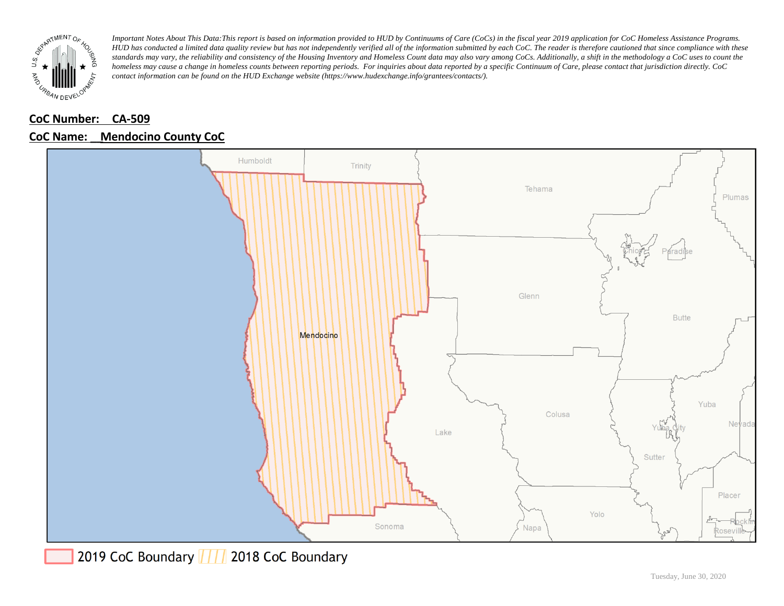

### **CoC Number: CA-509**

### **CoC Name: \_\_ Mendocino County CoC**

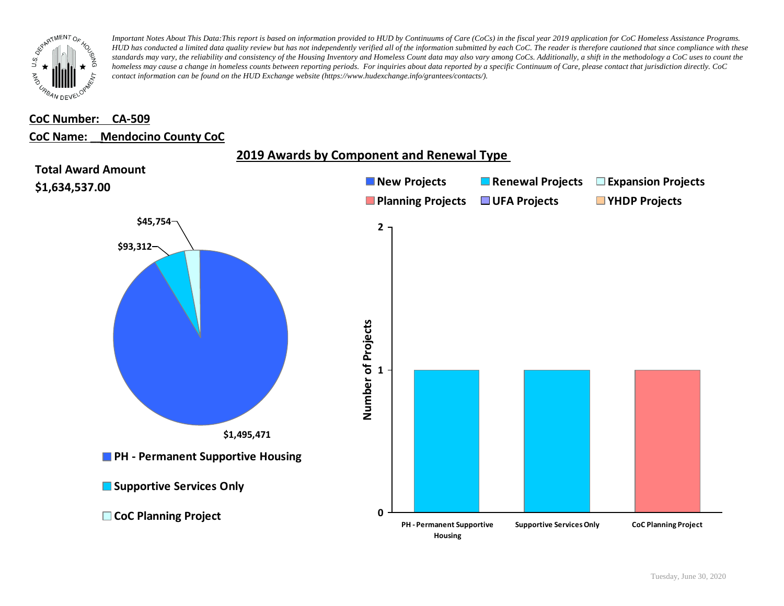

#### **CoC Number: CA-509**

#### **CoC Name: \_\_ Mendocino County CoC**



# **2019 Awards by Component and Renewal Type**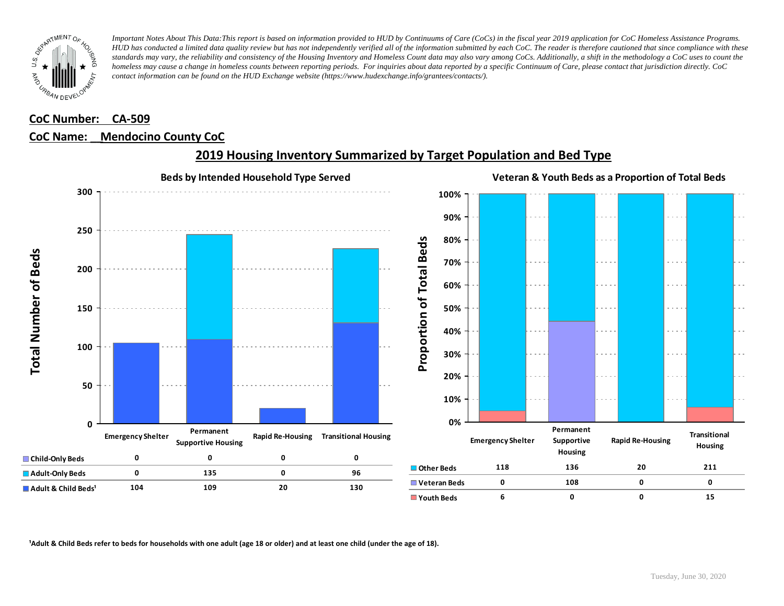

# **CoC Number: CA-509**

#### **CoC Name: \_\_ Mendocino County CoC**



## **2019 Housing Inventory Summarized by Target Population and Bed Type**

<sup>1</sup> Adult & Child Beds refer to beds for households with one adult (age 18 or older) and at least one child (under the age of 18).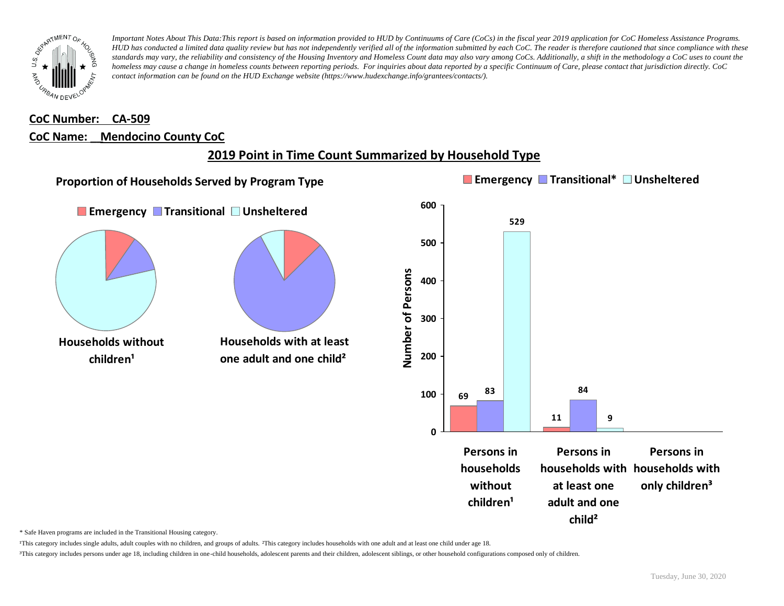

## **CoC Number: CA-509 CoC Name: \_\_ Mendocino County CoC**

# **2019 Point in Time Count Summarized by Household Type**



\* Safe Haven programs are included in the Transitional Housing category.

¹This category includes single adults, adult couples with no children, and groups of adults. ²This category includes households with one adult and at least one child under age 18.

³This category includes persons under age 18, including children in one-child households, adolescent parents and their children, adolescent siblings, or other household configurations composed only of children.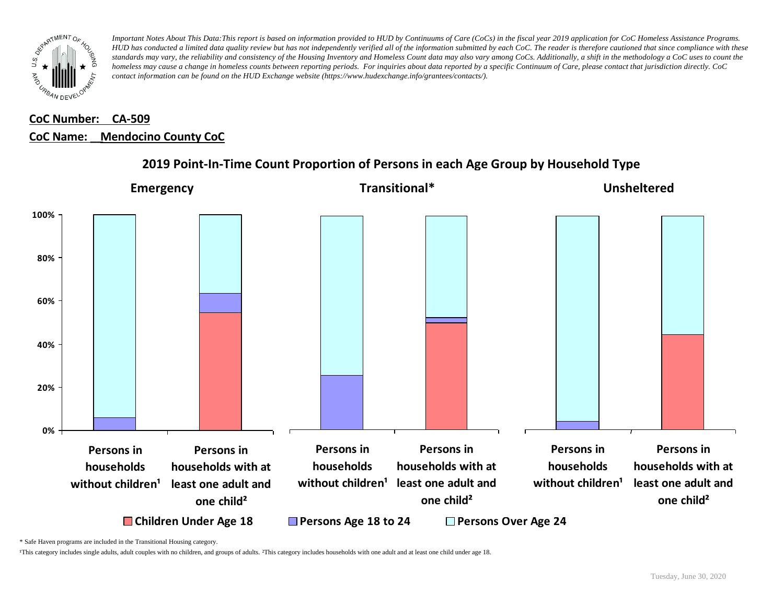

# **CoC Number: CA-509 CoC Name: \_\_ Mendocino County CoC**



### **2019 Point-In-Time Count Proportion of Persons in each Age Group by Household Type**

\* Safe Haven programs are included in the Transitional Housing category.

¹This category includes single adults, adult couples with no children, and groups of adults. ²This category includes households with one adult and at least one child under age 18.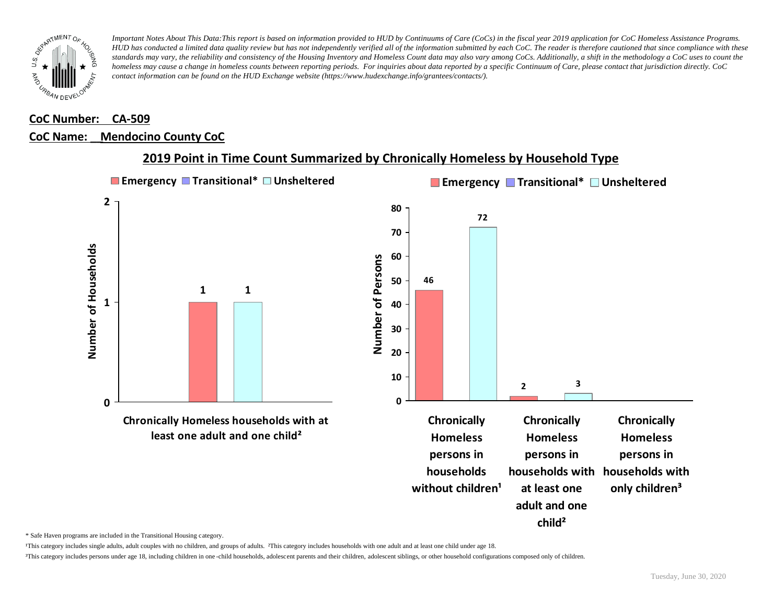

#### **CoC Number: CA-509**

#### **CoC Name: \_\_ Mendocino County CoC**



### **2019 Point in Time Count Summarized by Chronically Homeless by Household Type**

\* Safe Haven programs are included in the Transitional Housing category.

¹This category includes single adults, adult couples with no children, and groups of adults. ²This category includes households with one adult and at least one child under age 18.

³This category includes persons under age 18, including children in one -child households, adolescent parents and their children, adolescent siblings, or other household configurations composed only of children.